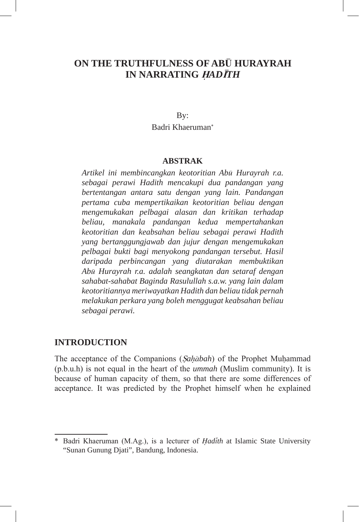# **ON THE TRUTHFULNESS OF AB**U **HURAYRAH IN NARRATING** H*AD*I*TH*

By: Badri Khaeruman<sup>∗</sup>

## **ABSTRAK**

*Artikel ini membincangkan keotoritian Abu Hurayrah r.a. sebagai perawi Hadith mencakupi dua pandangan yang bertentangan antara satu dengan yang lain. Pandangan pertama cuba mempertikaikan keotoritian beliau dengan mengemukakan pelbagai alasan dan kritikan terhadap beliau, manakala pandangan kedua mempertahankan keotoritian dan keabsahan beliau sebagai perawi Hadith yang bertanggungjawab dan jujur dengan mengemukakan pelbagai bukti bagi menyokong pandangan tersebut. Hasil daripada perbincangan yang diutarakan membuktikan Abu Hurayrah r.a. adalah seangkatan dan setaraf dengan sahabat-sahabat Baginda Rasulullah s.a.w. yang lain dalam keotoritiannya meriwayatkan Hadith dan beliau tidak pernah melakukan perkara yang boleh menggugat keabsahan beliau sebagai perawi.* 

## **INTRODUCTION**

The acceptance of the Companions (S*ahabah*) of the Prophet Muhammad (p.b.u.h) is not equal in the heart of the *ummah* (Muslim community). It is because of human capacity of them, so that there are some differences of acceptance. It was predicted by the Prophet himself when he explained

<sup>\*</sup> Badri Khaeruman (M.Ag.), is a lecturer of *Hadith* at Islamic State University "Sunan Gunung Djati", Bandung, Indonesia.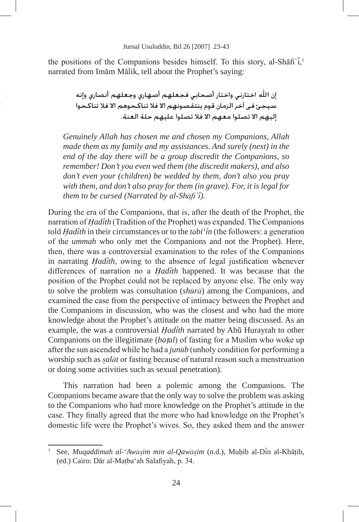the positions of the Companions besides himself. To this story, al-Shafi' $\tilde{i}$ ,<sup>1</sup> narrated from Imam Malik, tell about the Prophet's saying:

> إن الله اختارني واختار أصحابي فجعلهم أصهاري وجعلهم أنصارى وإنه سيجئ في آخر الزمان قوم ينتقصونهم الا فلا تناكحوهم الا فلا تناكحوا إليهم الا تصلوا معهم الا فلا تصلوا عليهم حلة العنة.

*Genuinely Allah has chosen me and chosen my Companions, Allah made them as my family and my assistances. And surely (next) in the end of the day there will be a group discredit the Companions, so remember! Don't you even wed them (the discredit makers), and also don't even your (children) be wedded by them, don't also you pray with them, and don't also pray for them (in grave). For, it is legal for them to be cursed (Narrated by al-Shafi`i).*

During the era of the Companions, that is, after the death of the Prophet, the narration of *Hadith* (Tradition of the Prophet) was expanded. The Companions told *Hadith* in their circumstances or to the *tabi'in* (the followers: a generation of the *ummah* who only met the Companions and not the Prophet). Here, then, there was a controversial examination to the roles of the Companions in narrating *Hadith*, owing to the absence of legal justification whenever differences of narration no a *Hadith* happened. It was because that the position of the Prophet could not be replaced by anyone else. The only way to solve the problem was consultation (*shura*) among the Companions, and examined the case from the perspective of intimacy between the Prophet and the Companions in discussion, who was the closest and who had the more knowledge about the Prophet's attitude on the matter being discussed. As an example, the was a controversial *Hadith* narrated by Abu Hurayrah to other Companions on the illegitimate (*ba*t*al*) of fasting for a Muslim who woke up after the sun ascended while he had a *junub* (unholy condition for performing a worship such as *salat* or fasting because of natural reason such a menstruation or doing some activities such as sexual penetration).

This narration had been a polemic among the Companions. The Companions became aware that the only way to solve the problem was asking to the Companions who had more knowledge on the Prophet's attitude in the case. They finally agreed that the more who had knowledge on the Prophet's domestic life were the Prophet's wives. So, they asked them and the answer

<sup>1</sup> See, *Muqaddimah al-*'*Awasim min al-Qawasim* (n.d.)*,* Muhib al-Din al-Khatib, (ed.) Cairo: Dar al-Matba'ah Salafiyah, p. 34.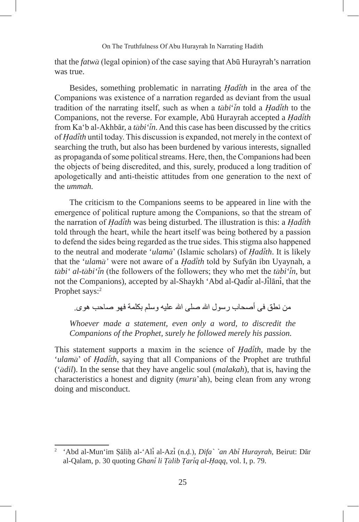that the *fatwa* (legal opinion) of the case saying that Abu Hurayrah's narration was true.

Besides, something problematic in narrating *Hadith* in the area of the Companions was existence of a narration regarded as deviant from the usual tradition of the narrating itself, such as when a *tabi*'*in* told a *Hadith* to the Companions, not the reverse. For example, Abu Hurayrah accepted a *Hadith* from Ka'b al-Akhbar, a *tabi'in*. And this case has been discussed by the critics of *Hadith* until today. This discussion is expanded, not merely in the context of searching the truth, but also has been burdened by various interests, signalled as propaganda of some political streams. Here, then, the Companions had been the objects of being discredited, and this, surely, produced a long tradition of apologetically and anti-theistic attitudes from one generation to the next of the *ummah.*

The criticism to the Companions seems to be appeared in line with the emergence of political rupture among the Companions, so that the stream of the narration of *Hadith* was being disturbed. The illustration is this: a *Hadith*  told through the heart, while the heart itself was being bothered by a passion to defend the sides being regarded as the true sides. This stigma also happened to the neutral and moderate '*ulama*' (Islamic scholars) of *Hadith*. It is likely that the '*ulama'* were not aware of a *Hadith* told by Sufyan ibn Uyaynah, a *tabi' al-tabi'in* (the followers of the followers; they who met the *tabi'in*, but not the Companions), accepted by al-Shaykh 'Abd al-Qadir al-Jilani, that the Prophet says:<sup>2</sup>

من نطق في أصبحاب ر سول الله صلى الله عليه وسلم بكلمة فهو صباحب هو ي.

*Whoever made a statement, even only a word, to discredit the Companions of the Prophet, surely he followed merely his passion.*

This statement supports a maxim in the science of *Hadith*, made by the '*ulama*' of *Hadith*, saying that all Companions of the Prophet are truthful ('*adil*). In the sense that they have angelic soul (*malakah*), that is, having the characteristics a honest and dignity (*muru*'ah), being clean from any wrong doing and misconduct.

<sup>2</sup> 'Abd al-Mun'im Salih al-'Ali al-Azi (n.d.), *Difa` `an Abi Hurayrah*, Beirut: Dar al-Qalam, p. 30 quoting *Ghani li Talib Tariq al-Haqq*, vol. I, p. 79.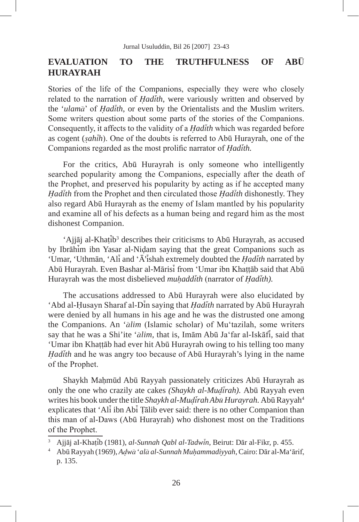# **EVALUATION TO THE TRUTHFULNESS OF ABU HURAYRAH**

Stories of the life of the Companions, especially they were who closely related to the narration of *Hadith*, were variously written and observed by the '*ulama*' of *Hadith*, or even by the Orientalists and the Muslim writers. Some writers question about some parts of the stories of the Companions. Consequently, it affects to the validity of a *Hadith* which was regarded before as cogent (*sahih*). One of the doubts is referred to Abu Hurayrah, one of the Companions regarded as the most prolific narrator of *Hadith.*

For the critics, Abū Hurayrah is only someone who intelligently searched popularity among the Companions, especially after the death of the Prophet, and preserved his popularity by acting as if he accepted many *Hadith* from the Prophet and then circulated those *Hadith* dishonestly. They also regard Abu Hurayrah as the enemy of Islam mantled by his popularity and examine all of his defects as a human being and regard him as the most dishonest Companion.

'Ajjāj al-Khaṭīb<sup>3</sup> describes their criticisms to Abū Hurayrah, as accused by Ibrahim ibn Yasar al-Nidam saying that the great Companions such as 'Umar, 'Uthman, 'Ali and 'A'ishah extremely doubted the *Hadith* narrated by Abu Hurayrah. Even Bashar al-Marisi from 'Umar ibn Khattab said that Abu Hurayrah was the most disbelieved *muhaddith* (narrator of *Hadith).*

The accusations addressed to Abū Hurayrah were also elucidated by 'Abd al-Husayn Sharaf al-Din saying that *Hadith* narrated by Abu Hurayrah were denied by all humans in his age and he was the distrusted one among the Companions. An '*alim* (Islamic scholar) of Mu'tazilah, some writers say that he was a Shi'ite '*alim,* that is, Imam Abu Ja'far al-Iskafi, said that 'Umar ibn Khattab had ever hit Abū Hurayrah owing to his telling too many *Hadith* and he was angry too because of Abu Hurayrah's lying in the name of the Prophet.

Shaykh Mahmud Abu Rayyah passionately criticizes Abu Hurayrah as only the one who crazily ate cakes *(Shaykh al-Mudirah).* Abu Rayyah even writes his book under the title *Shaykh al-Mudirah Abū Hurayrah*. Abū Rayyah<sup>4</sup> explicates that 'Ali ibn Abi Talib ever said: there is no other Companion than this man of al-Daws (Abu Hurayrah) who dishonest most on the Traditions of the Prophet.

<sup>3</sup> Ajjaj aI-Khatib (1981), *al-Sunnah Qabl al-Tadwin*, Beirut: Dar al-Fikr, p. 455.

<sup>4</sup> Abu Rayyah (1969), *Adwa* '*ala al-Sunnah Muhammadiyyah*,Cairo: Dar al-Ma'arif, p. 135.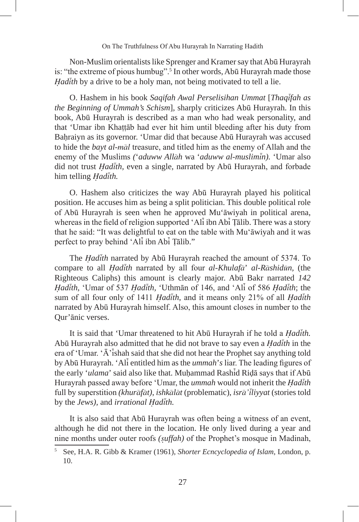Non-Muslim orientalists like Sprenger and Kramer say that Abu Hurayrah is: "the extreme of pious humbug".<sup>5</sup> In other words, Abu Hurayrah made those *Hadith* by a drive to be a holy man, not being motivated to tell a lie.

O. Hashem in his book *Saqifah Awal Perselisihan Ummat* [*Thaqifah as the Beginning of Ummah's Schism*], sharply criticizes Abu Hurayrah. In this book, Abu Hurayrah is described as a man who had weak personality, and that 'Umar ibn Khattab had ever hit him until bleeding after his duty from Bahraiyn as its governor. 'Umar did that because Abū Hurayrah was accused to hide the *bayt al-mal* treasure, and titled him as the enemy of Allah and the enemy of the Muslims *(*'*aduww Allah* wa '*aduww al-muslimin).* 'Umar also did not trust *Hadith,* even a single, narrated by Abu Hurayrah, and forbade him telling *Hadith.*

O. Hashem also criticizes the way Abu Hurayrah played his political position. He accuses him as being a split politician. This double political role of Abu Hurayrah is seen when he approved Mu'awiyah in political arena, whereas in the field of religion supported 'All ibn Ablarella Talib. There was a story that he said: "It was delightful to eat on the table with Mu'awiyah and it was perfect to pray behind 'Ali ibn Abi Talib."

The *Hadith* narrated by Abu Hurayrah reached the amount of 5374. To compare to all *Hadith* narrated by all four *al-Khulafa*' *al-Rashidun,* (the Righteous Caliphs) this amount is clearly major. Abu Bakr narrated *142 Hadith,* 'Umar of 537 *Hadith,* 'Uthman of 146, and 'Ali of 586 *Hadith*; the sum of all four only of 1411 *Hadith*, and it means only 21% of all *Hadith*  narrated by Abu Hurayrah himself. Also, this amount closes in number to the Qur'anic verses.

It is said that 'Umar threatened to hit Abu Hurayrah if he told a *Hadith.*  Abu Hurayrah also admitted that he did not brave to say even a *Hadith* in the era of 'Umar. ' $\overline{A}$ 'ishah said that she did not hear the Prophet say anything told by Abu Hurayrah. 'Ali entitled him as the *ummah*'*s* liar. The leading figures of the early '*ulama*' said also like that. Muhammad Rashid Rida says that if Abu Hurayrah passed away before 'Umar, the *ummah* would not inherit the *Hadith*  full by superstition *(khurafat)*, *ishkalat* (problematic), *isra'iliyyat* (stories told by the *Jews),* and *irrational Hadith.*

It is also said that Abu Hurayrah was often being a witness of an event, although he did not there in the location. He only lived during a year and nine months under outer roofs *(suffah)* of the Prophet's mosque in Madinah,

<sup>5</sup> See, H.A. R. Gibb & Kramer (1961), *Shorter Ecncyclopedia of Islam*, London, p. 10.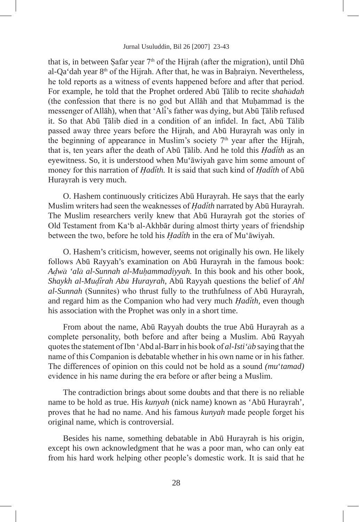that is, in between Safar year  $7<sup>th</sup>$  of the Hijrah (after the migration), until Dh $\bar{u}$ al-Qa'dah year 8th of the Hijrah. After that, he was in Bahraiyn. Nevertheless, he told reports as a witness of events happened before and after that period. For example, he told that the Prophet ordered Abu Talib to recite *shahadah*  (the confession that there is no god but Allah and that Muhammad is the messenger of Allah), when that 'Ali's father was dying, but Abu Talib refused it. So that Abū Tālib died in a condition of an infidel. In fact, Abū Tālib passed away three years before the Hijrah, and Abu Hurayrah was only in the beginning of appearance in Muslim's society  $7<sup>th</sup>$  year after the Hijrah, that is, ten years after the death of Abu Talib. And he told this *Hadith* as an eyewitness. So, it is understood when Mu'awiyah gave him some amount of money for this narration of *Hadith.* It is said that such kind of *Hadith* of Abu Hurayrah is very much.

O. Hashem continuously criticizes Abu Hurayrah. He says that the early Muslim writers had seen the weaknesses of *Hadith* narrated by Abu Hurayrah. The Muslim researchers verily knew that Abū Hurayrah got the stories of Old Testament from Ka'b al-Akhbar during almost thirty years of friendship between the two, before he told his *Hadith* in the era of Mu'awiyah.

O. Hashem's criticism, however, seems not originally his own. He likely follows Abū Rayyah's examination on Abū Hurayrah in the famous book: *Adwa 'ala al-Sunnah al-Muhammadiyyah.* In this book and his other book, *Shaykh al-Mudirah Abu Hurayrah*, Abu Rayyah questions the belief of *Ahl al-Sunnah* (Sunnites) who thrust fully to the truthfulness of Abu Hurayrah, and regard him as the Companion who had very much *Hadith,* even though his association with the Prophet was only in a short time.

From about the name, Abu Rayyah doubts the true Abu Hurayrah as a complete personality, both before and after being a Muslim. Abu Rayyah quotes the statement of Ibn 'Abd al-Barr in his book of *al-Isti'ab* saying that the name of this Companion is debatable whether in his own name or in his father. The differences of opinion on this could not be hold as a sound *(mu*'*tamad)*  evidence in his name during the era before or after being a Muslim.

The contradiction brings about some doubts and that there is no reliable name to be hold as true. His *kunyah* (nick name) known as 'Abu Hurayrah', proves that he had no name. And his famous *kunyah* made people forget his original name, which is controversial.

Besides his name, something debatable in Abu Hurayrah is his origin, except his own acknowledgment that he was a poor man, who can only eat from his hard work helping other people's domestic work. It is said that he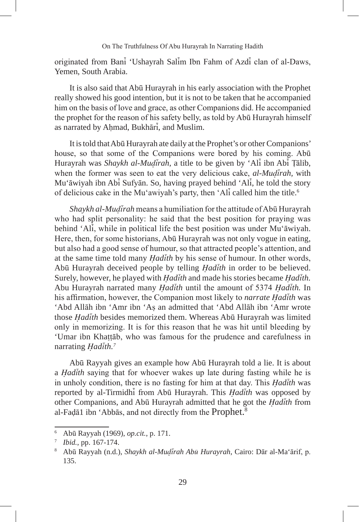originated from Bani 'Ushayrah Salim Ibn Fahm of Azdi clan of al-Daws, Yemen, South Arabia.

It is also said that Abū Hurayrah in his early association with the Prophet really showed his good intention, but it is not to be taken that he accompanied him on the basis of love and grace, as other Companions did. He accompanied the prophet for the reason of his safety belly, as told by Abū Hurayrah himself as narrated by Ahmad, Bukhari, and Muslim.

It is told that Abu Hurayrah ate daily at the Prophet's or other Companions' house, so that some of the Companions were bored by his coming. Abu Hurayrah was *Shaykh al-Mudirah*, a title to be given by 'Ali ibn Abi Talib, when the former was seen to eat the very delicious cake, *al-Mudirah,* with Mu'awiyah ibn Abi Sufyan. So, having prayed behind 'Ali, he told the story of delicious cake in the Mu'awiyah's party, then 'Ali called him the title.6

*Shaykh al-Mudirah* means a humiliation for the attitude of Abu Hurayrah who had split personality: he said that the best position for praying was behind 'Ali, while in political life the best position was under Mu'awiyah. Here, then, for some historians, Abū Hurayrah was not only vogue in eating, but also had a good sense of humour, so that attracted people's attention, and at the same time told many *Hadith* by his sense of humour. In other words, Abu Hurayrah deceived people by telling *Hadith* in order to be believed. Surely, however, he played with *Hadith* and made his stories became *Hadith.*  Abu Hurayrah narrated many *Hadith* until the amount of 5374 *Hadith.* In his affirmation, however, the Companion most likely to *narrate Hadith* was 'Abd Allah ibn 'Amr ibn 'As an admitted that 'Abd Allah ibn 'Amr wrote those *Hadith* besides memorized them. Whereas Abu Hurayrah was limited only in memorizing. It is for this reason that he was hit until bleeding by 'Umar ibn Khattab, who was famous for the prudence and carefulness in narrating *Hadith.7*

Abū Rayyah gives an example how Abū Hurayrah told a lie. It is about a *Hadith* saying that for whoever wakes up late during fasting while he is in unholy condition, there is no fasting for him at that day. This *Hadith* was reported by al-Tirmidhi from Abu Hurayrah. This *Hadith* was opposed by other Companions, and Abu Hurayrah admitted that he got the *Hadith* from al-Fadā1 ibn 'Abbās, and not directly from the Prophet.<sup>8</sup>

<sup>6</sup> Abu Rayyah (1969), *op.cit.*, p. 171.

<sup>7</sup> *Ibid.*, pp. 167-174.

<sup>8</sup> Abu Rayyah (n.d.), *Shaykh al-Mudirah Abu Hurayrah*, Cairo: Dar al-Ma'arif, p. 135.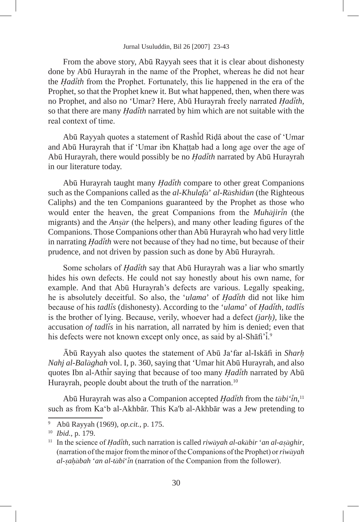From the above story, Abu Rayyah sees that it is clear about dishonesty done by Abū Hurayrah in the name of the Prophet, whereas he did not hear the *Hadith* from the Prophet. Fortunately, this lie happened in the era of the Prophet, so that the Prophet knew it. But what happened, then, when there was no Prophet, and also no 'Umar? Here, Abu Hurayrah freely narrated *Hadith,*  so that there are many *Hadith* narrated by him which are not suitable with the real context of time.

Abu Rayyah quotes a statement of Rashid Rida about the case of 'Umar and Abu Hurayrah that if 'Umar ibn Khattab had a long age over the age of Abu Hurayrah, there would possibly be no *Hadith* narrated by Abu Hurayrah in our literature today.

Abu Hurayrah taught many *Hadith* compare to other great Companions such as the Companions called as the *al-Khulafa*' *al-Rashidun* (the Righteous Caliphs) and the ten Companions guaranteed by the Prophet as those who would enter the heaven, the great Companions from the *Muhajirin* (the migrants) and the *Ansar* (the helpers), and many other leading figures of the Companions. Those Companions other than Abū Hurayrah who had very little in narrating *Hadith* were not because of they had no time, but because of their prudence, and not driven by passion such as done by Abū Hurayrah.

Some scholars of *Hadith* say that Abu Hurayrah was a liar who smartly hides his own defects. He could not say honestly about his own name, for example. And that Abū Hurayrah's defects are various. Legally speaking, he is absolutely deceitful. So also, the '*ulama*' of *Hadith* did not like him because of his *tadlis* (dishonesty). According to the '*ulama*' of *Hadith, tadlis*  is the brother of lying. Because, verily, whoever had a defect *(jarh),* like the accusation *of tadlis* in his narration, all narrated by him is denied; even that his defects were not known except only once, as said by al-Shafi'<sup>1</sup>.<sup>9</sup>

Abu Rayyah also quotes the statement of Abu Ja'far al-Iskafi in *Sharh Nahj al-Balaghah* vol. I, p. 360, saying that 'Umar hit Abu Hurayrah, and also quotes Ibn al-Athir saying that because of too many *Hadith* narrated by Abu Hurayrah, people doubt about the truth of the narration.<sup>10</sup>

Abu Hurayrah was also a Companion accepted *Hadith* from the *tabi'in*, 11 such as from Ka'b al-Akhbar. This Ka'b al-Akhbar was a Jew pretending to

<sup>9</sup> Abu Rayyah (1969)*, op.cit.*, p. 175.

<sup>10</sup> *Ibid.,* p. 179.

<sup>11</sup> In the science of *Hadith,* such narration is called *riwayah al-akabir* '*an al-asaghir*, (narration of the major from the minor of the Companions of the Prophet) or *riwayah al-sahabah* '*an al-tabi*'*in* (narration of the Companion from the follower).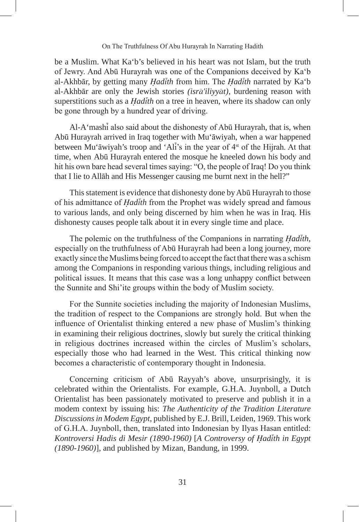be a Muslim. What Ka'b's believed in his heart was not Islam, but the truth of Jewry. And Abu Hurayrah was one of the Companions deceived by Ka'b al-Akhbar, by getting many *Hadith* from him. The *Hadith* narrated by Ka'b al-Akhbar are only the Jewish stories *(isra'iliyyat)*, burdening reason with superstitions such as a *Hadith* on a tree in heaven, where its shadow can only be gone through by a hundred year of driving.

Al-A'mashi also said about the dishonesty of Abu Hurayrah, that is, when Abu Hurayrah arrived in Iraq together with Mu'awiyah, when a war happened between Mu'āwiyah's troop and 'Ali's in the year of 4<sup>st</sup> of the Hijrah. At that time, when Abū Hurayrah entered the mosque he kneeled down his body and hit his own bare head several times saying: "O, the people of Iraq! Do you think that I lie to Allah and His Messenger causing me burnt next in the hell?"

This statement is evidence that dishonesty done by Abū Hurayrah to those of his admittance of *Hadith* from the Prophet was widely spread and famous to various lands, and only being discerned by him when he was in Iraq. His dishonesty causes people talk about it in every single time and place.

The polemic on the truthfulness of the Companions in narrating *Hadith*, especially on the truthfulness of Abū Hurayrah had been a long journey, more exactly since the Muslims being forced to accept the fact that there was a schism among the Companions in responding various things, including religious and political issues. It means that this case was a long unhappy conflict between the Sunnite and Shi'ite groups within the body of Muslim society.

For the Sunnite societies including the majority of Indonesian Muslims, the tradition of respect to the Companions are strongly hold. But when the influence of Orientalist thinking entered a new phase of Muslim's thinking in examining their religious doctrines, slowly but surely the critical thinking in religious doctrines increased within the circles of Muslim's scholars, especially those who had learned in the West. This critical thinking now becomes a characteristic of contemporary thought in Indonesia.

Concerning criticism of Abu Rayyah's above, unsurprisingly, it is celebrated within the Orientalists. For example, G.H.A. Juynboll, a Dutch Orientalist has been passionately motivated to preserve and publish it in a modem context by issuing his: *The Authenticity of the Tradition Literature Discussions in Modem Egypt*, published by E.J. Brill, Leiden, 1969. This work of G.H.A. Juynboll, then, translated into Indonesian by Ilyas Hasan entitled: *Kontroversi Hadis di Mesir (1890-1960)* [*A Controversy of Hadith in Egypt (1890-1960)*], and published by Mizan, Bandung, in 1999.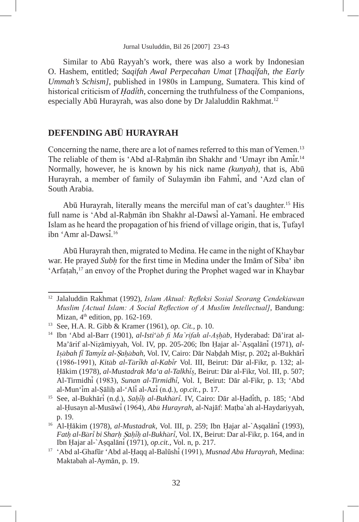Similar to Abū Rayyah's work, there was also a work by Indonesian O. Hashem, entitled; *Saqifah Awal Perpecahan Umat* [*Thaqifah*, *the Early Ummah's Schism]*, published in 1980s in Lampung, Sumatera. This kind of historical criticism of *Hadith*, concerning the truthfulness of the Companions, especially Abū Hurayrah, was also done by Dr Jalaluddin Rakhmat.<sup>12</sup>

# **DEFENDING AB**U **HURAYRAH**

Concerning the name, there are a lot of names referred to this man of Yemen.<sup>13</sup> The reliable of them is 'Abd aI-Rahman ibn Shakhr and 'Umayr ibn Amir.14 Normally, however, he is known by his nick name *(kunyah),* that is, Abu Hurayrah, a member of family of Sulayman ibn Fahmi, and 'Azd clan of South Arabia.

Abū Hurayrah, literally means the merciful man of cat's daughter.<sup>15</sup> His full name is 'Abd al-Rahman ibn Shakhr al-Dawsi al-Yamani. He embraced Islam as he heard the propagation of his friend of village origin, that is, Tufayl ibn 'Amr al-Dawsi.16

Abu Hurayrah then, migrated to Medina. He came in the night of Khaybar war. He prayed *Subh* for the first time in Medina under the Imam of Siba' ibn 'Arfatah,<sup>17</sup> an envoy of the Prophet during the Prophet waged war in Khaybar

<sup>12</sup> Jalaluddin Rakhmat (1992), *Islam Aktual: Refleksi Sosial Seorang Cendekiawan Muslim [Actual Islam: A Social Reflection of A Muslim Intellectual]*, Bandung: Mizan,  $4<sup>th</sup>$  edition, pp. 162-169.

<sup>13</sup> See, H.A. R. Gibb & Kramer (1961), *op. Cit.,* p. 10.

<sup>14</sup> Ibn 'Abd al-Barr (1901), *al-Isti*'*ab fi Ma`rifah al-Ashab,* Hyderabad: Da'irat al-Ma'arif al-Nizamiyyah, Vol. IV, pp. 205-206; Ibn Hajar al-`Asqalani (1971), *al-Isabah fi Tamyiz al-*S*ahabah*, Vol. IV, Cairo: Dar Nahdah Misr, p. 202**;** al-Bukhari (1986-1991), *Kitab al-Tarikh al-Kabir* Vol. III, Beirut: Dar al-Fikr, p. 132; al-Hakim (1978), *al-Mustadrak Ma'a al-Talkhis*, Beirut: Dar al-Fikr, Vol. III, p. 507; Al-Tirmidhi (1983), *Sunan al-Tirmidhi*, Vol. I, Beirut: Dar al-Fikr, p. 13; 'Abd al-Mun'im al-Salih al-'Ali al-Azi (n.d.), *op.cit.*, p. 17.

<sup>15</sup> See, al-Bukhari (n.d.), *Sahih al-Bukhari.* IV, Cairo: Dar al-Hadith, p. 185; 'Abd al-Husayn al-Musawi (1964), *Abu Hurayrah,* al-Najaf: Matba`ah al-Haydariyyah, p. 19.

<sup>16</sup> Al-Hakim (1978), *al-Mustadrak,* Vol. III, p. 259; Ibn Hajar al-`Asqalani (1993), *Fath al-Bari bi Sharh* S*ahih al-Bukhari,* Vol. IX, Beirut: Dar al-Fikr, p. 164, and in Ibn Hajar al-`Asqalani (1971), *op.cit.,* Vol. n, p. 217.

<sup>17</sup> 'Abd al-Ghafur 'Abd al-Haqq al-Balushi (1991), *Musnad Abu Hurayrah*, Medina: Maktabah al-Ayman, p. 19.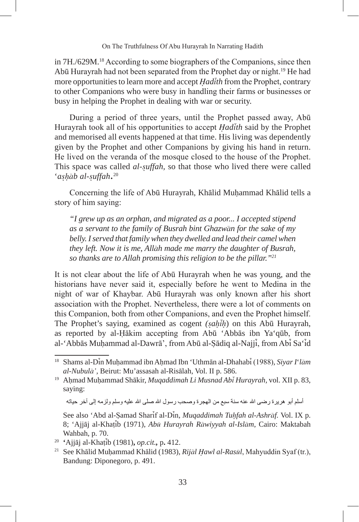in 7H./629M.18 According to some biographers of the Companions, since then Abu Hurayrah had not been separated from the Prophet day or night.19 He had more opportunities to learn more and accept *Hadith* from the Prophet, contrary to other Companions who were busy in handling their farms or businesses or busy in helping the Prophet in dealing with war or security.

During a period of three years, until the Prophet passed away, Abu Hurayrah took all of his opportunities to accept *Hadith* said by the Prophet and memorised all events happened at that time. His living was dependently given by the Prophet and other Companions by giving his hand in return. He lived on the veranda of the mosque closed to the house of the Prophet. This space was called *al-suffah,* so that those who lived there were called '*ashab al-suffah*.20

Concerning the life of Abū Hurayrah, Khālid Muhammad Khālid tells a story of him saying:

*"I grew up as an orphan, and migrated as a poor... I accepted stipend as a servant to the family of Busrah bint Ghazwan for the sake of my belly. I served that family when they dwelled and lead their camel when they left. Now it is me, Allah made me marry the daughter of Busrah, so thanks are to Allah promising this religion to be the pillar."21*

It is not clear about the life of Abū Hurayrah when he was young, and the historians have never said it, especially before he went to Medina in the night of war of Khaybar. Abu Hurayrah was only known after his short association with the Prophet. Nevertheless, there were a lot of comments on this Companion, both from other Companions, and even the Prophet himself. The Prophet's saying, examined as cogent *(sahih*) on this Abu Hurayrah, as reported by al-Hākim accepting from Abū 'Abbās ibn Ya'qūb, from al-'Abbas Muhammad al-Dawra', from Abu al-Sadiq al-Najji, from Abi Sa'id

أسلم أبو هريرة رضيي الله عنه سنة سبع من الهجرة وصحب رسول الله صلى الله عليه وسلم ولزمه إلى أخر حياته

<sup>18</sup> Shams al-Din Muhammad ibn Ahmad Ibn 'Uthman al-Dhahabi (1988), *Siyar I*'*lam al-Nubula',* Beirut: Mu'assasah al-Risalah, Vol. II p. 586.

<sup>19</sup> Ahmad Muhammad Shakir, *Muqaddimah Li Musnad Abi Hurayrah,* vol. XII p. 83, saying:

See also 'Abd al-Samad Sharif al-Din, *Muqaddimah Tuhfah al-Ashraf.* Vol. IX p. 8; 'Ajjaj al-Khatib (1971), *Abu Hurayrah Rawiyyah al-Islam*, Cairo: Maktabah Wahbah, p. 70.

<sup>20</sup> **'**Ajjaj al-Khatib (1981)**,** *op.cit.,* p**.** 412.

<sup>21</sup> See Khalid Muhammad Khalid (1983), *Rijal Hawl al-Rasul*, Mahyuddin Syaf (tr.), Bandung: Diponegoro, p. 491.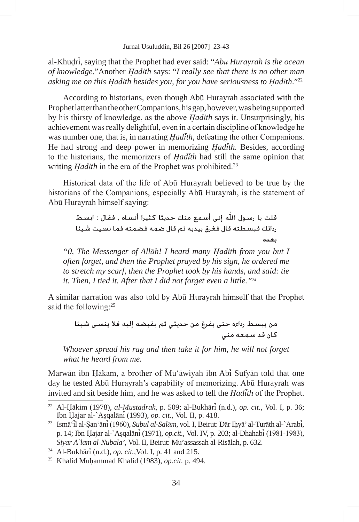al-Khudri, saying that the Prophet had ever said: "*Abu Hurayrah is the ocean of knowledge.*"Another *Hadith* says: "*I really see that there is no other man asking me on this Hadith besides you, for you have seriousness to Hadith*."22

According to historians, even though Abu Hurayrah associated with the Prophet latter than the other Companions, his gap, however, was being supported by his thirsty of knowledge, as the above *Hadith* says it. Unsurprisingly, his achievement was really delightful, even in a certain discipline of knowledge he was number one, that is, in narrating *Hadith,* defeating the other Companions. He had strong and deep power in memorizing *Hadith.* Besides, according to the historians, the memorizers of *Hadith* had still the same opinion that writing *Hadith* in the era of the Prophet was prohibited.<sup>23</sup>

Historical data of the life of Abu Hurayrah believed to be true by the historians of the Companions, especially Abū Hurayrah, is the statement of Abu Hurayrah himself saying:

> قلت يا رسول الله إني أسمع منك حديثا كثيرا أنساه , فقال : ابسط ردائك فبسطته قال فغرق بيديه ثم قال ضمه فضمته فما نسيت شيئا بعده

*"0, The Messenger of Allah! I heard many Hadith from you but I often forget, and then the Prophet prayed by his sign, he ordered me to stretch my scarf, then the Prophet took by his hands, and said: tie it. Then, I tied it. After that I did not forget even a little."24*

A similar narration was also told by Abu Hurayrah himself that the Prophet said the following:<sup>25</sup>

من يبسط رداءه حتى يفرغ من حديثى ثم يقبضه إليه فلا ينسى شيئا كان قد سمعه منى

*Whoever spread his rag and then take it for him, he will not forget what he heard from me.*

Marwan ibn Hakam, a brother of Mu'awiyah ibn Abi Sufyan told that one day he tested Abū Hurayrah's capability of memorizing. Abū Hurayrah was invited and sit beside him, and he was asked to tell the *Hadith* of the Prophet.

<sup>22</sup> Al-Hakim (1978), *al-Mustadrak*, p. 509; al-Bukhari (n.d.), *op. cit.,* Vol*.* I, p. 36; Ibn Hajar al-`Asqalani (1993), *op. cit.,* Vol. II, p. 418.

<sup>23</sup> Isma'il al-San'ani (1960), *Subul al-Salam*, vol. I, Beirut: Dar Ihya' al-Turath al-`Arabi, p. 14; Ibn Hajar al-`Asqalani (1971), *op.cit.,* Vol. IV, p. 203; al-Dhahabi (1981-1983), *Siyar A`lam al-Nubala'*, Vol. II, Beirut: Mu'assassah al-Risalah, p. 632.

<sup>24</sup> Al-Bukhari (n.d.), *op. cit.,*Vol. I, p. 41 and 215.

<sup>25</sup> Khalid Muhammad Khalid (1983), *op.cit.* p. 494.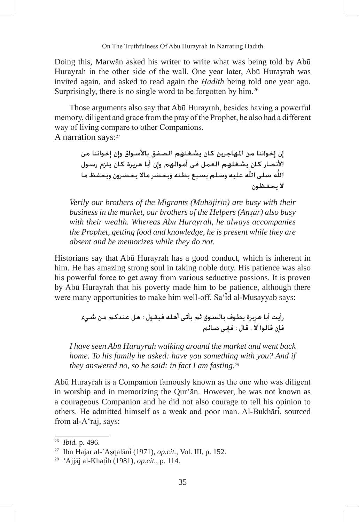Doing this, Marwan asked his writer to write what was being told by Abu Hurayrah in the other side of the wall. One year later, Abu Hurayrah was invited again, and asked to read again the *Hadith* being told one year ago. Surprisingly, there is no single word to be forgotten by him.<sup>26</sup>

Those arguments also say that Abū Hurayrah, besides having a powerful memory, diligent and grace from the pray of the Prophet, he also had a different way of living compare to other Companions. A narration says:<sup>27</sup>

> إن إخواننا من المهاجرين كان يشغلهم الصفق بالأسواق وإن إخواننا من الأنصار كـان يشـغـلهـم الـعـمـل فـي أمـوالـهـم وإن أبـا هـريـرة كـان يـلـزم رسـول الله صلى الله عليه وسلم بسبع بطنه ويحضر مالا يحضرون ويحفظ ما لا يحفظون

*Verily our brothers of the Migrants (Muhajirin) are busy with their business in the market, our brothers of the Helpers (Ansar) also busy with their wealth. Whereas Abu Hurayrah, he always accompanies the Prophet, getting food and knowledge, he is present while they are absent and he memorizes while they do not.*

Historians say that Abu Hurayrah has a good conduct, which is inherent in him. He has amazing strong soul in taking noble duty. His patience was also his powerful force to get away from various seductive passions. It is proven by Abu Hurayrah that his poverty made him to be patience, although there were many opportunities to make him well-off. Sa'id al-Musayyab says:

> رأيت أبا هريرة يطوف بالسوق ثم يأتي أهله فيقول : هل عندكم من شيء فإن قالوا لا , قال : فإني صائم

*I have seen Abu Hurayrah walking around the market and went back home. To his family he asked: have you something with you? And if they answered no, so he said: in fact I am fasting.28*

Abu Hurayrah is a Companion famously known as the one who was diligent in worship and in memorizing the Our'an. However, he was not known as a courageous Companion and he did not also courage to tell his opinion to others. He admitted himself as a weak and poor man. Al-Bukhari, sourced from al-A'raj, says:

<sup>26</sup> *Ibid.* p. 496.

<sup>27</sup> Ibn Hajar al-`Asqalani (1971), *op.cit.,* Vol. III, p. 152.

<sup>28</sup> 'Ajjaj al-Khatib (1981), *op.cit.*, p. 114.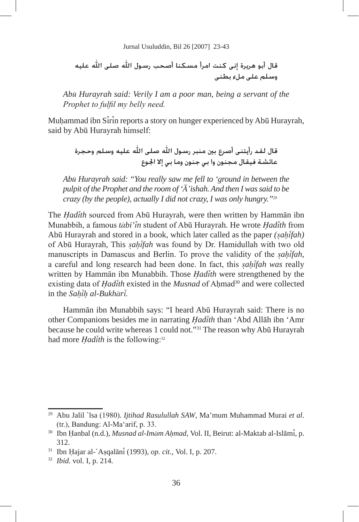قال أبو هريرة إني كنت امرأ مسكنا أصحب رسول الله صلى الله عليه وسيلم على ملء بطني

*Abu Hurayrah said: Verily I am a poor man, being a servant of the Prophet to fulfil my belly need.*

Muhammad ibn Sirin reports a story on hunger experienced by Abu Hurayrah, said by Abū Hurayrah himself:

قال لقد رأيتني أصرع بين منبر رسول الله صلى الله عليه وسلم وحجرة عائشة فيقال مجنون وا بي جنون وما بي إلا الجوع

*Abu Hurayrah said: "You really saw me fell to 'ground in between the pulpit of the Prophet and the room of 'A'ishah. And then I was said to be crazy (by the people), actually I did not crazy, I was only hungry."29*

The *Hadith* sourced from Abu Hurayrah, were then written by Hamman ibn Munabbih, a famous *tabi'in* student of Abu Hurayrah. He wrote *Hadith* from Abu Hurayrah and stored in a book, which later called as the paper *(sahifah)*  of Abu Hurayrah, This *sahifah* was found by Dr. Hamidullah with two old manuscripts in Damascus and Berlin. To prove the validity of the *sahifah*, a careful and long research had been done. In fact, this *sahifah was* really written by Hamman ibn Munabbih. Those *Hadith* were strengthened by the existing data of *Hadith* existed in the *Musnad* of Ahmad<sup>30</sup> and were collected in the *Sahih al-Bukhari.*

Hammān ibn Munabbih says: "I heard Abū Hurayrah said: There is no other Companions besides me in narrating *Hadith* than 'Abd Allah ibn 'Amr because he could write whereas 1 could not."<sup>31</sup> The reason why Abū Hurayrah had more *Hadith* is the following:<sup>32</sup>

<sup>29</sup> Abu Jalil `lsa (1980). *Ijtihad Rasulullah SAW*, Ma'mum Muhammad Murai *et al*. (tr.), Bandung: Al-Ma'arif, p. 33.

<sup>30</sup> Ibn Hanbal (n.d.), *Musnad al-Imam Ahmad*, Vol. II, Beirut: al-Maktab al-Islami, p. 312.

<sup>31</sup> Ibn Hajar al-`Asqalani (1993), *op. cit.,* Vol. I, p. 207.

<sup>32</sup> *Ibid.* vol. I, p. 214.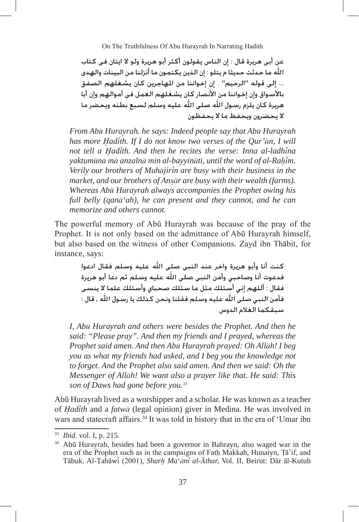عن أبي هريرة قال : إن الناس يقولون أكثر أبو هريرة ولو لا ايتان في كتاب الله ما حدثت حديثا م يتلو : إن الذين يكتمون ما أنزلنا من البينات والهدى ... إلى قوله "الرحيم" . إن إخواننا من المهاجرين كان يشغلهم الصفق بالأسـواق وإن إخـواننا من الأنصـار كـان يشـغـلـهم الـعـمـل فـي أمـوالـهـم وإن أبـا هريرة كان يلزم رسـول الله صلـى الله عليه وسلم لسبع بطنه ويحضر ما لا يحضرون ويحفظ ما لا يحفظون

*From Abu Hurayrah. he says: Indeed people say that Abu Hurayrah has more Hadith. If I do not know two verses of the Qur'an, I will not tell a Hadith. And then he recites the verse: Inna al-ladhina yaktumuna ma anzalna min al-bayyinati, until the word of al-Rahim. Verily our brothers of Muhajirin are busy with their business in the market, and our brothers of Ansar are busy with their wealth (farms). Whereas Abu Hurayrah always accompanies the Prophet owing his full belly (qana'ah), he can present and they cannot, and he can memorize and others cannot.*

The powerful memory of Abu Hurayrah was because of the pray of the Prophet. It is not only based on the admittance of Abū Hurayrah himself, but also based on the witness of other Companions. Zayd ibn Thabit, for instance, says:

> كنت أنا وأبو هريرة واخر عند النبى صلى الله عليه وسلم فقال ادعوا فدعوت أنا وصاحبى وأمن النبى صلى الله عليه وسلم ثم دعا أبو هريرة فقال : أللهم إنى أستلك مثل ما سئلك صحباى وأسئلك علما لا ينسى فأمن النبي صلى الله عليه وسلم فقلنا ونحن كذلك يا رسول الله , قال : سبقكما الغلام الدوس

*I, Abu Hurayrah and others were besides the Prophet. And then he said: "Please pray". And then my friends and I prayed, whereas the Prophet said amen. And then Abu Hurayrah prayed: Oh Allah! I beg you as what my friends had asked, and I beg you the knowledge not to forget. And the Prophet also said amen. And then we said: Oh the Messenger of Allah! We want also a prayer like that. He said: This son of Daws had gone before you.33*

Abu Hurayrah lived as a worshipper and a scholar. He was known as a teacher of *Hadith* and a *fatwa* (legal opinion) giver in Medina. He was involved in wars and statecraft affairs.<sup>34</sup> It was told in history that in the era of 'Umar ibn

<sup>33</sup> *Ibid.* vol. I, p. 215.

<sup>&</sup>lt;sup>34</sup> Abū Hurayrah, besides had been a governor in Bahrayn, also waged war in the era of the Prophet such as in the campaigns of Fath Makkah, Hunaiyn, Ta'if, and Tabuk. Al-Tahawi (2001), *Sharh Ma*'*ani al-Athar,* Vol. II, Beirut: Dar al-Kutub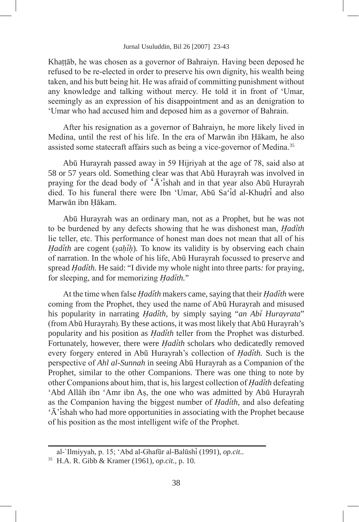Khattab, he was chosen as a governor of Bahraiyn. Having been deposed he refused to be re-elected in order to preserve his own dignity, his wealth being taken, and his butt being hit. He was afraid of committing punishment without any knowledge and talking without mercy. He told it in front of 'Umar, seemingly as an expression of his disappointment and as an denigration to 'Umar who had accused him and deposed him as a governor of Bahrain.

After his resignation as a governor of Bahraiyn, he more likely lived in Medina, until the rest of his life. In the era of Marwan ibn Hakam, he also assisted some statecraft affairs such as being a vice-governor of Medina.<sup>35</sup>

Abu Hurayrah passed away in 59 Hijriyah at the age of 78, said also at 58 or 57 years old. Something clear was that Abu Hurayrah was involved in praying for the dead body of  $\hat{A}$ <sup>t</sup> ishah and in that year also Abu Hurayrah died. To his funeral there were Ibn 'Umar, Abū Sa'id al-Khudri and also Marwan ibn Hakam.

Abu Hurayrah was an ordinary man, not as a Prophet, but he was not to be burdened by any defects showing that he was dishonest man, *Hadith*  lie teller, etc. This performance of honest man does not mean that all of his *Hadith* are cogent (*sahih*)*.* To know its validity is by observing each chain of narration. In the whole of his life, Abu Hurayrah focussed to preserve and spread *Hadith.* He said: "I divide my whole night into three parts*:* for praying, for sleeping, and for memorizing *Hadith.*"

At the time when false *Hadith* makers came, saying that their *Hadith* were coming from the Prophet, they used the name of Abū Hurayrah and misused his popularity in narrating *Hadith,* by simply saying "*an Abi Hurayrata*" (from Abu Hurayrah). By these actions, it was most likely that Abu Hurayrah's popularity and his position as *Hadith* teller from the Prophet was disturbed. Fortunately, however, there were *Hadith* scholars who dedicatedly removed every forgery entered in Abu Hurayrah's collection of *Hadith.* Such is the perspective of *Ahl al-Sunnah* in seeing Abu Hurayrah as a Companion of the Prophet, similar to the other Companions. There was one thing to note by other Companions about him, that is, his largest collection of *Hadith* defeating 'Abd Allah ibn 'Amr ibn As, the one who was admitted by Abu Hurayrah as the Companion having the biggest number of *Hadith*, and also defeating 'A'ishah who had more opportunities in associating with the Prophet because of his position as the most intelligent wife of the Prophet.

al-`Ilmiyyah, p. 15; 'Abd al-Ghafur al-Balushi (1991), *op.cit..* 

<sup>35</sup> H.A. R. Gibb & Kramer (1961), *op.cit.*, p. 10.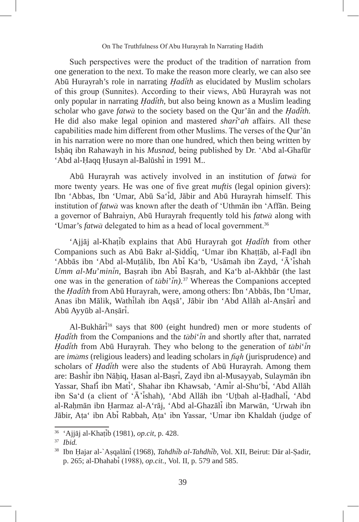Such perspectives were the product of the tradition of narration from one generation to the next. To make the reason more clearly, we can also see Abu Hurayrah's role in narrating *Hadith* as elucidated by Muslim scholars of this group (Sunnites). According to their views, Abu Hurayrah was not only popular in narrating *Hadith*, but also being known as a Muslim leading scholar who gave *fatwa* to the society based on the Qur'an and the *Hadith.*  He did also make legal opinion and mastered *shari*'*ah* affairs. All these capabilities made him different from other Muslims. The verses of the Qur'an in his narration were no more than one hundred, which then being written by Ishaq ibn Rahawayh in his *Musnad*, being published by Dr. 'Abd al-Ghafur 'Abd al-Haqq Husayn al-Balūshi in 1991 M..

Abu Hurayrah was actively involved in an institution of *fatwa* for more twenty years. He was one of five great *muftis* (legal opinion givers): Ibn 'Abbas, Ibn 'Umar, Abu Sa'id, Jabir and Abu Hurayrah himself. This institution of *fatwa* was known after the death of 'Uthman ibn 'Affan. Being a governor of Bahraiyn, Abu Hurayrah frequently told his *fatwa* along with 'Umar's *fatwa* delegated to him as a head of local government.<sup>36</sup>

'Ajjaj al-Khatib explains that Abu Hurayrah got *Hadith* from other Companions such as Abū Bakr al-Siddiq, 'Umar ibn Khattāb, al-Fadl ibn 'Abbas ibn 'Abd al-Mutalib, Ibn Abi Ka'b, 'Usamah ibn Zayd, 'A'ishah *Umm al-Mu*'*minin,* Basrah ibn Abi Basrah, and Ka'b al-Akhbar (the last one was in the generation of *tabi*'*in).*<sup>37</sup> Whereas the Companions accepted the *Hadith* from Abū Hurayrah, were, among others: Ibn 'Abbās, Ibn 'Umar, Anas ibn Malik, Wathilah ibn Aqsa', Jabir ibn 'Abd Allah al-Ansari and Abu Ayyub al-Ansari.

Al-Bukhari <sup>38</sup> says that 800 (eight hundred) men or more students of *Hadith* from the Companions and the *tabi*'*in* and shortly after that, narrated *Hadith* from Abu Hurayrah. They who belong to the generation of  $t\bar{a}bi'\bar{i}n$ are *imams* (religious leaders) and leading scholars in *fiqh* (jurisprudence) and scholars of *Hadith* were also the students of Abu Hurayrah. Among them are: Bashir ibn Nahiq, Hasan al-Basri, Zayd ibn al-Musayyab, Sulayman ibn Yassar, Shafi ibn Mati', Shahar ibn Khawsab, 'Amir al-Shu'bi, 'Abd Allah ibn Sa'd (a client of 'A'ishah), 'Abd Allah ibn 'Utbah al-Hadhali, 'Abd al-Rahman ibn Harmaz al-A'raj, 'Abd al-Ghazali ibn Marwan, 'Urwah ibn Jabir, Ata' ibn Abi Rabbah, Ata' ibn Yassar, 'Umar ibn Khaldah (judge of

<sup>36</sup> 'Ajjaj al-Khatib (1981), *op.cit*, p. 428.

<sup>37</sup> *Ibid.*

<sup>38</sup> Ibn Hajar al-`Asqalani (1968), *Tahdhib al-Tahdhib*, Vol. XII, Beirut: Dar al-Sadir, p. 265; al-Dhahabi (1988), *op.cit.*, Vol. II, p. 579 and 585.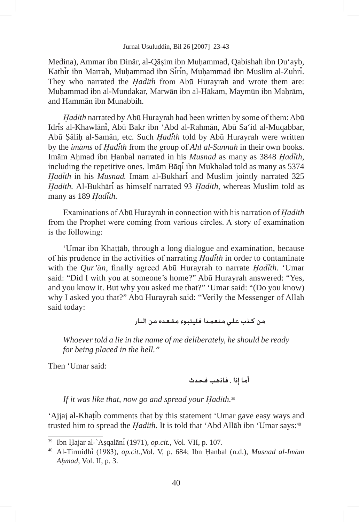Medina), Ammar ibn Dinar, al-Qasim ibn Muhammad, Qabishah ibn Du'ayb, Kathir ibn Marrah, Muhammad ibn Sirin, Muhammad ibn Muslim al-Zuhri. They who narrated the *Hadith* from Abū Hurayrah and wrote them are: Muhammad ibn al-Mundakar, Marwān ibn al-Hākam, Maymūn ibn Mahrām, and Hamman ibn Munabbih.

Hadith narrated by Abū Hurayrah had been written by some of them: Abū Idris al-Khawlāni, Abū Bakr ibn 'Abd al-Rahmān, Abū Sa'id al-Muqabbar, Abu Salih al-Saman, etc. Such *Hadith* told by Abu Hurayrah were written by the *imams* of *Hadith* from the group of *Ahl al-Sunnah* in their own books. Imam Ahmad ibn Hanbal narrated in his *Musnad* as many as 3848 *Hadith*, including the repetitive ones. Imam Baqi ibn Mukhalad told as many as 5374 *Hadith* in his *Musnad.* Imam al-Bukhari and Muslim jointly narrated 325 *Hadith.* Al-Bukhari as himself narrated 93 *Hadith*, whereas Muslim told as many as 189 *Hadith.*

Examinations of Abu Hurayrah in connection with his narration of *Hadith*  from the Prophet were coming from various circles. A story of examination is the following:

'Umar ibn Khattab, through a long dialogue and examination, because of his prudence in the activities of narrating *Hadith* in order to contaminate with the *Qur'an*, finally agreed Abu Hurayrah to narrate *Hadith.* 'Umar said: "Did I with you at someone's home?" Abū Hurayrah answered: "Yes, and you know it. But why you asked me that?" 'Umar said: "(Do you know) why I asked you that?" Abū Hurayrah said: "Verily the Messenger of Allah said today:

# من كـذب علـى متعمدا فليتبوء مقعده من النار

*Whoever told a lie in the name of me deliberately, he should be ready for being placed in the hell."*

Then 'Umar said:

*If it was like that, now go and spread your Hadith.39*

'Ajjaj al-Khatib comments that by this statement 'Umar gave easy ways and trusted him to spread the *Hadith*. It is told that 'Abd Allah ibn 'Umar says:<sup>40</sup>

<sup>39</sup> Ibn Hajar al-`Asqalani (1971), *op.cit.,* Vol. VII, p. 107.

<sup>40</sup> Al-Tirmidhi (1983), *op.cit.,*Vol. V, p. 684; Ibn Hanbal (n.d.), *Musnad al-Imam Ahmad*, Vol. II, p. 3.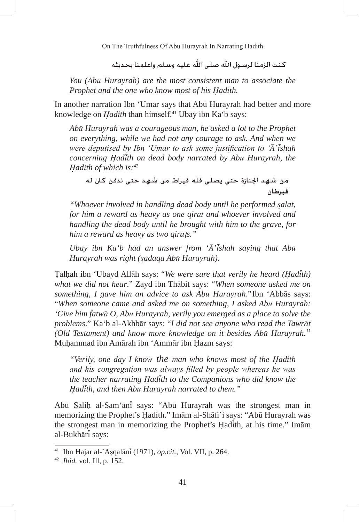كنت الزمنا لرسول الله صلى الله عليه وسلم واعلمنا بحديثه

*You (Abu Hurayrah) are the most consistent man to associate the Prophet and the one who know most of his Hadith.*

In another narration Ibn 'Umar says that Abu Hurayrah had better and more knowledge on *Hadith* than himself.41 Ubay ibn Ka'b says:

*Abu Hurayrah was a courageous man, he asked a lot to the Prophet on everything, while we had not any courage to ask. And when we were deputised by Ibn 'Umar to ask some justification to 'A'ishah concerning Hadith on dead body narrated by Abu Hurayrah, the Hadith of which is:*<sup>42</sup>

من شهد الجنازة حتى يصلى فله قيراط من شهد حتى تدفن كان له قىرطان

*"Whoever involved in handling dead body until he performed salat, for him a reward as heavy as one qirat and whoever involved and handling the dead body until he brought with him to the grave, for him a reward as heavy as two qira*t*s."*

*Ubay ibn Ka'b had an answer from 'A'ishah saying that Abu Hurayrah was right (sadaqa Abu Hurayrah).*

Talhah ibn 'Ubayd Allah says: "*We were sure that verily he heard (Hadith) what we did not hear*." Zayd ibn Thabit says: "*When someone asked me on something, I gave him an advice to ask Abu Hurayrah*."Ibn 'Abbas says: "*When someone came and asked me on something, I asked Abu Hurayrah: 'Give him fatwa O, Abu Hurayrah, verily you emerged as a place to solve the problems*." Ka'b al-Akhbar says: "*I did not see anyone who read the Tawrat (Old Testament) and know more knowledge on it besides Abu Hurayrah.*" Muhammad ibn Amarah ibn 'Ammar ibn Hazm says:

*"Verily, one day I know the man who knows most of the Hadith and his congregation was always filled by people whereas he was the teacher narrating Hadith to the Companions who did know the Hadith, and then Abu Hurayrah narrated to them."*

Abu Salih al-Sam'ani says: "Abu Hurayrah was the strongest man in memorizing the Prophet's Hadith." Imam al-Shafi`i says: "Abu Hurayrah was the strongest man in memorizing the Prophet's Hadith, at his time." Imam al-Bukhari says:

<sup>41</sup> Ibn Hajar al-`Asqalani (1971), *op.cit.,* Vol. VII, p. 264.

<sup>42</sup> *Ibid.* vol. Ill, p. 152.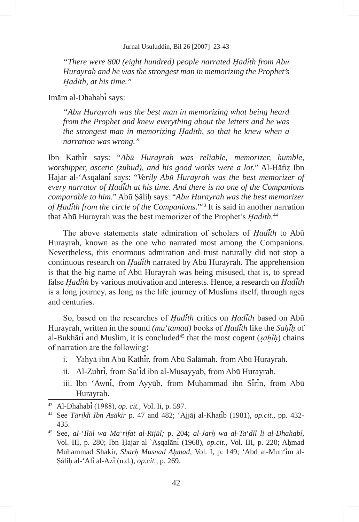*"There were 800 (eight hundred) people narrated Hadith from Abu Hurayrah and he was the strongest man in memorizing the Prophet's Hadith, at his time."*

Imam al-Dhahabi says:

*"Abu Hurayrah was the best man in memorizing what being heard from the Prophet and knew everything about the letters and he was the strongest man in memorizing Hadith, so that he knew when a narration was wrong."*

Ibn Kathir says: "*Abu Hurayrah was reliable, memorizer, humble, worshipper, ascetic (zuhud), and his good works were a lot*." Al-Hafiz Ibn Hajar al-'Asqalani says: "*Verily Abu Hurayrah was the best memorizer of every narrator of Hadith at his time. And there is no one of the Companions comparable to him*." Abu Salih says: "*Abu Hurayrah was the best memorizer of Hadith from the circle of the Companions*."43 It is said in another narration that Abu Hurayrah was the best memorizer of the Prophet's *Hadith.*<sup>44</sup>

The above statements state admiration of scholars of *Hadith* to Abu Hurayrah, known as the one who narrated most among the Companions. Nevertheless, this enormous admiration and trust naturally did not stop a continuous research on *Hadith* narrated by Abu Hurayrah. The apprehension is that the big name of Abu Hurayrah was being misused, that is, to spread false *Hadith* by various motivation and interests. Hence, a research on *Hadith*  is a long journey, as long as the life journey of Muslims itself, through ages and centuries.

So, based on the researches of *Hadith* critics on *Hadith* based on Abu Hurayrah, written in the sound *(mu*'*tamad)* books of *Hadith* like the *Sahih* of al-Bukhari and Muslim, it is concluded45 that the most cogent (*sahih*) chains of narration are the following:

- i. Yahya ibn Abu Kathir, from Abu Salamah, from Abu Hurayrah.
- ii. Al-Zuhri, from Sa'id ibn al-Musayyab, from Abū Hurayrah.
- iii. Ibn 'Awni, from Ayyūb, from Muhammad ibn Sirin, from Abū Hurayrah.

<sup>43</sup> Al-Dhahabi (1988), *op. cit.,* Vol. Ii, p. 597.

<sup>44</sup> See *Tarikh Ibn Asakir* p. 47 and 482; 'Ajjaj al-Khatib (1981), *op.cit.,* pp. 432- 435.

<sup>45</sup> See, *aI-*'*Ilal wa Ma*'*rifat al-Rijal;* p. 204; *al-Jarh wa al-Ta*'*dil li al-Dhahabi*, Vol. III, p. 280; Ibn Hajar al-`Asqalani (1968), *op.cit.,* Vol. III, p. 220; Ahmad Muhammad Shakir, *Sharh Musnad Ahmad*, Vol. I, p. 149; 'Abd al-Mun'im al-Salih al-'Ali al-Azi (n.d.), *op.cit.*, p. 269.